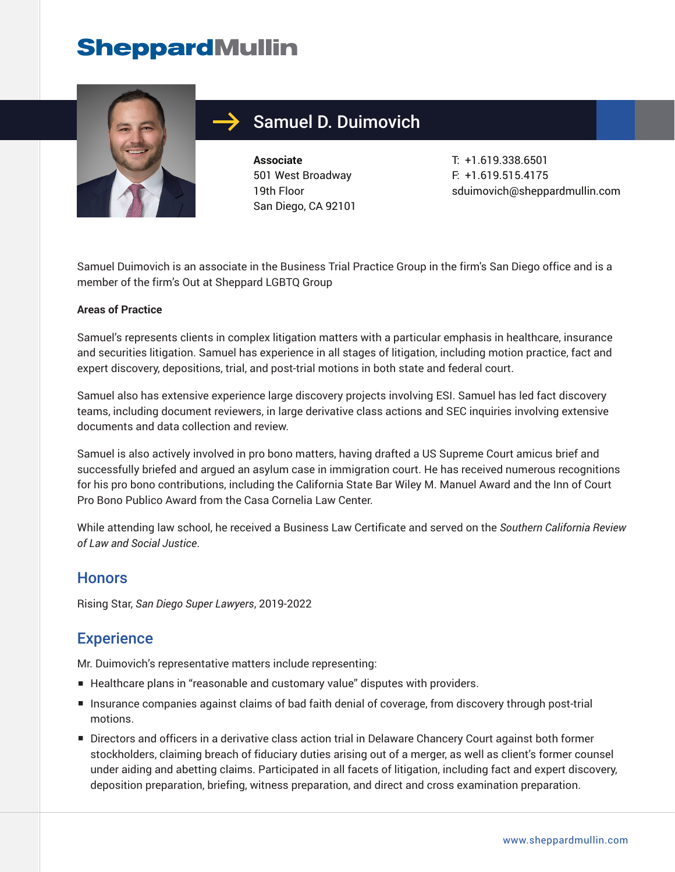# **SheppardMullin**



### Samuel D. Duimovich

**Associate** 501 West Broadway 19th Floor San Diego, CA 92101 T: +1.619.338.6501 F: +1.619.515.4175 sduimovich@sheppardmullin.com

Samuel Duimovich is an associate in the Business Trial Practice Group in the firm's San Diego office and is a member of the firm's Out at Sheppard LGBTQ Group

#### **Areas of Practice**

Samuel's represents clients in complex litigation matters with a particular emphasis in healthcare, insurance and securities litigation. Samuel has experience in all stages of litigation, including motion practice, fact and expert discovery, depositions, trial, and post-trial motions in both state and federal court.

Samuel also has extensive experience large discovery projects involving ESI. Samuel has led fact discovery teams, including document reviewers, in large derivative class actions and SEC inquiries involving extensive documents and data collection and review.

Samuel is also actively involved in pro bono matters, having drafted a US Supreme Court amicus brief and successfully briefed and argued an asylum case in immigration court. He has received numerous recognitions for his pro bono contributions, including the California State Bar Wiley M. Manuel Award and the Inn of Court Pro Bono Publico Award from the Casa Cornelia Law Center.

While attending law school, he received a Business Law Certificate and served on the *Southern California Review of Law and Social Justice*.

### **Honors**

Rising Star, *San Diego Super Lawyers*, 2019-2022

### **Experience**

Mr. Duimovich's representative matters include representing:

- Healthcare plans in "reasonable and customary value" disputes with providers.
- Insurance companies against claims of bad faith denial of coverage, from discovery through post-trial motions.
- Directors and officers in a derivative class action trial in Delaware Chancery Court against both former stockholders, claiming breach of fiduciary duties arising out of a merger, as well as client's former counsel under aiding and abetting claims. Participated in all facets of litigation, including fact and expert discovery, deposition preparation, briefing, witness preparation, and direct and cross examination preparation.